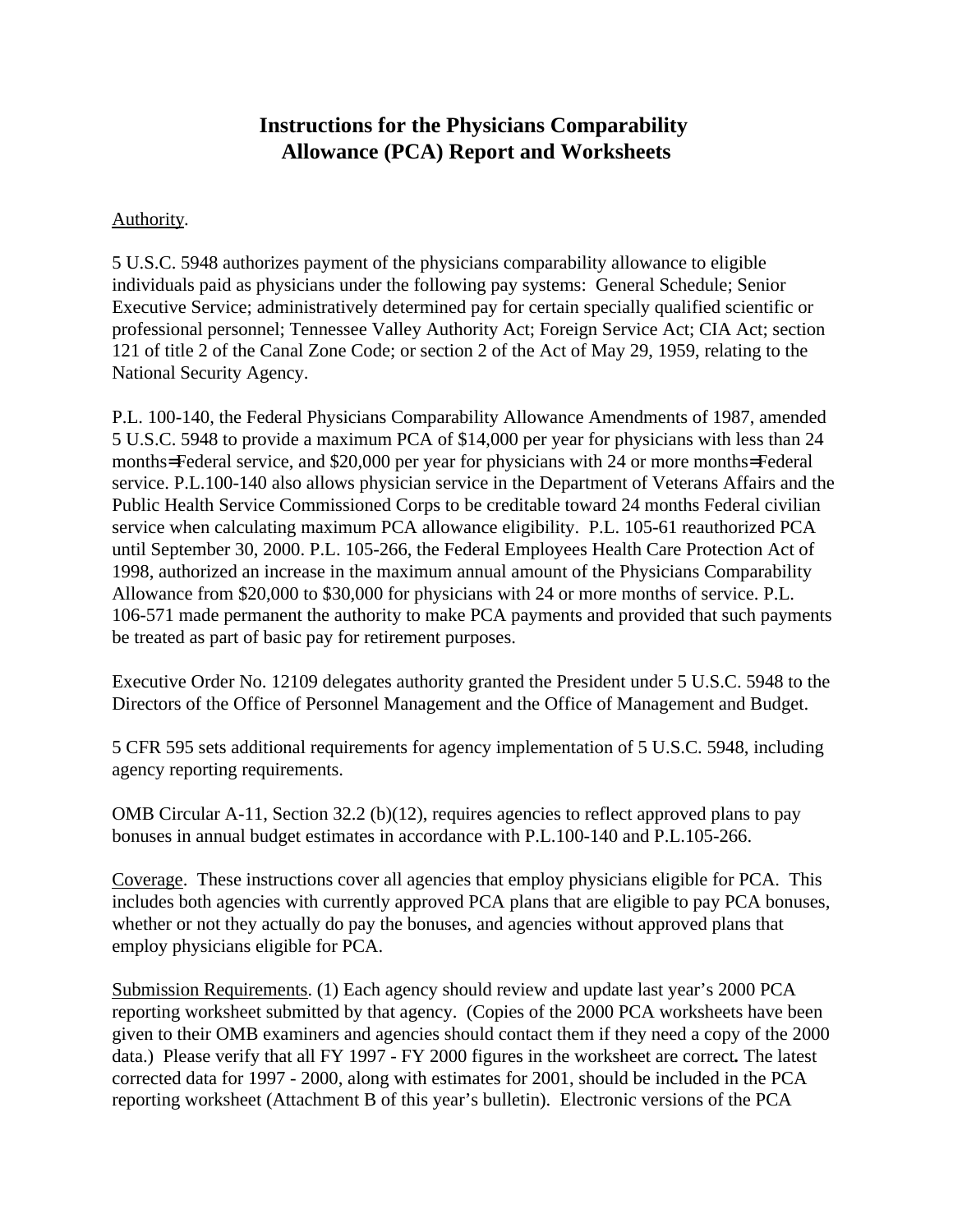## **Instructions for the Physicians Comparability Allowance (PCA) Report and Worksheets**

#### Authority.

5 U.S.C. 5948 authorizes payment of the physicians comparability allowance to eligible individuals paid as physicians under the following pay systems: General Schedule; Senior Executive Service; administratively determined pay for certain specially qualified scientific or professional personnel; Tennessee Valley Authority Act; Foreign Service Act; CIA Act; section 121 of title 2 of the Canal Zone Code; or section 2 of the Act of May 29, 1959, relating to the National Security Agency.

P.L. 100-140, the Federal Physicians Comparability Allowance Amendments of 1987, amended 5 U.S.C. 5948 to provide a maximum PCA of \$14,000 per year for physicians with less than 24 months= Federal service, and \$20,000 per year for physicians with 24 or more months= Federal service. P.L.100-140 also allows physician service in the Department of Veterans Affairs and the Public Health Service Commissioned Corps to be creditable toward 24 months Federal civilian service when calculating maximum PCA allowance eligibility. P.L. 105-61 reauthorized PCA until September 30, 2000. P.L. 105-266, the Federal Employees Health Care Protection Act of 1998, authorized an increase in the maximum annual amount of the Physicians Comparability Allowance from \$20,000 to \$30,000 for physicians with 24 or more months of service. P.L. 106-571 made permanent the authority to make PCA payments and provided that such payments be treated as part of basic pay for retirement purposes.

Executive Order No. 12109 delegates authority granted the President under 5 U.S.C. 5948 to the Directors of the Office of Personnel Management and the Office of Management and Budget.

5 CFR 595 sets additional requirements for agency implementation of 5 U.S.C. 5948, including agency reporting requirements.

OMB Circular A-11, Section 32.2 (b)(12), requires agencies to reflect approved plans to pay bonuses in annual budget estimates in accordance with P.L.100-140 and P.L.105-266.

Coverage. These instructions cover all agencies that employ physicians eligible for PCA. This includes both agencies with currently approved PCA plans that are eligible to pay PCA bonuses, whether or not they actually do pay the bonuses, and agencies without approved plans that employ physicians eligible for PCA.

Submission Requirements. (1) Each agency should review and update last year's 2000 PCA reporting worksheet submitted by that agency. (Copies of the 2000 PCA worksheets have been given to their OMB examiners and agencies should contact them if they need a copy of the 2000 data.) Please verify that all FY 1997 - FY 2000 figures in the worksheet are correct*.* The latest corrected data for 1997 - 2000, along with estimates for 2001, should be included in the PCA reporting worksheet (Attachment B of this year's bulletin). Electronic versions of the PCA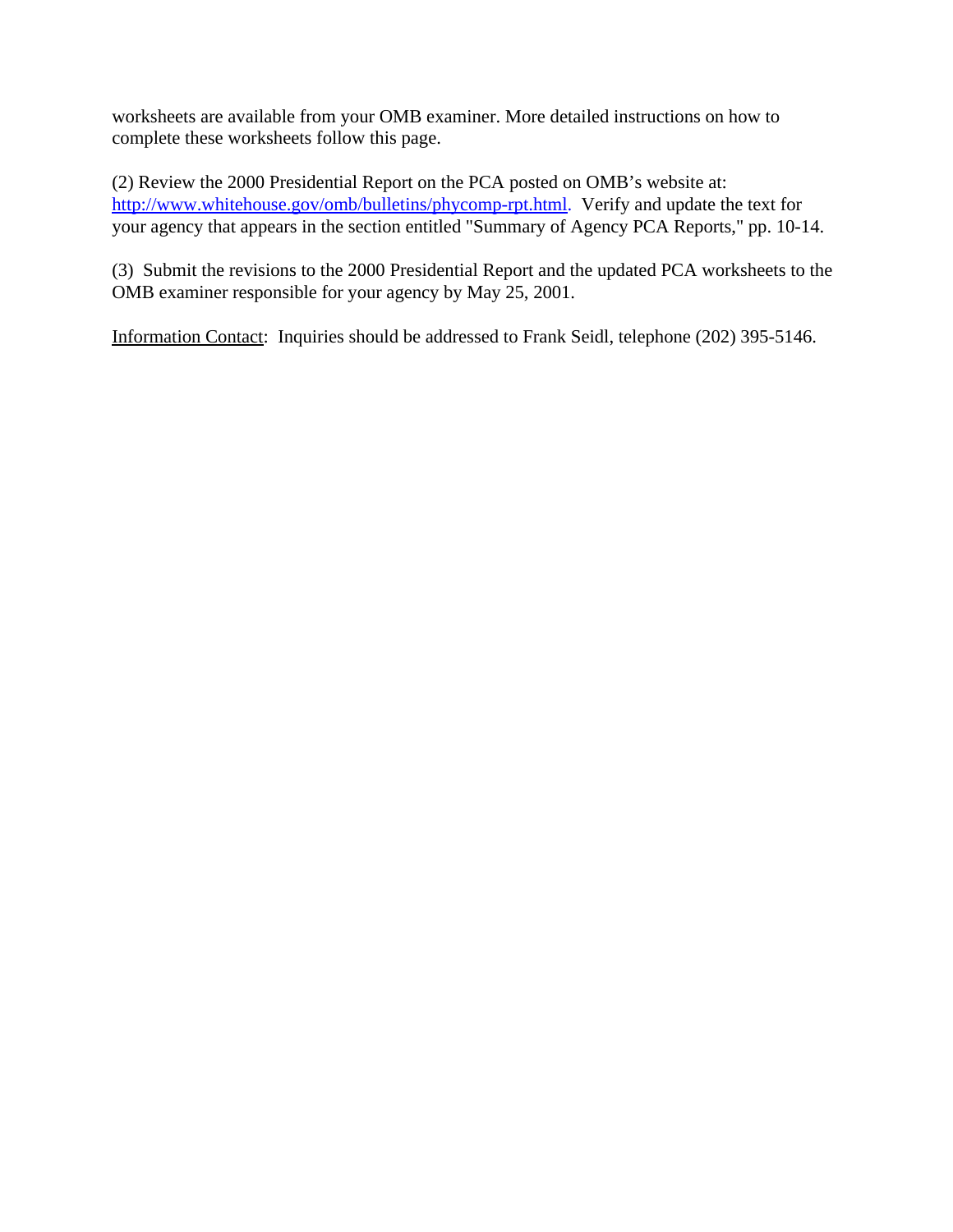worksheets are available from your OMB examiner. More detailed instructions on how to complete these worksheets follow this page.

(2) Review the 2000 Presidential Report on the PCA posted on OMB's website at: http://www.whitehouse.gov/omb/bulletins/phycomp-rpt.html. Verify and update the text for your agency that appears in the section entitled "Summary of Agency PCA Reports," pp. 10-14.

(3)Submit the revisions to the 2000 Presidential Report and the updated PCA worksheets to the OMB examiner responsible for your agency by May 25, 2001.

Information Contact: Inquiries should be addressed to Frank Seidl, telephone (202) 395-5146.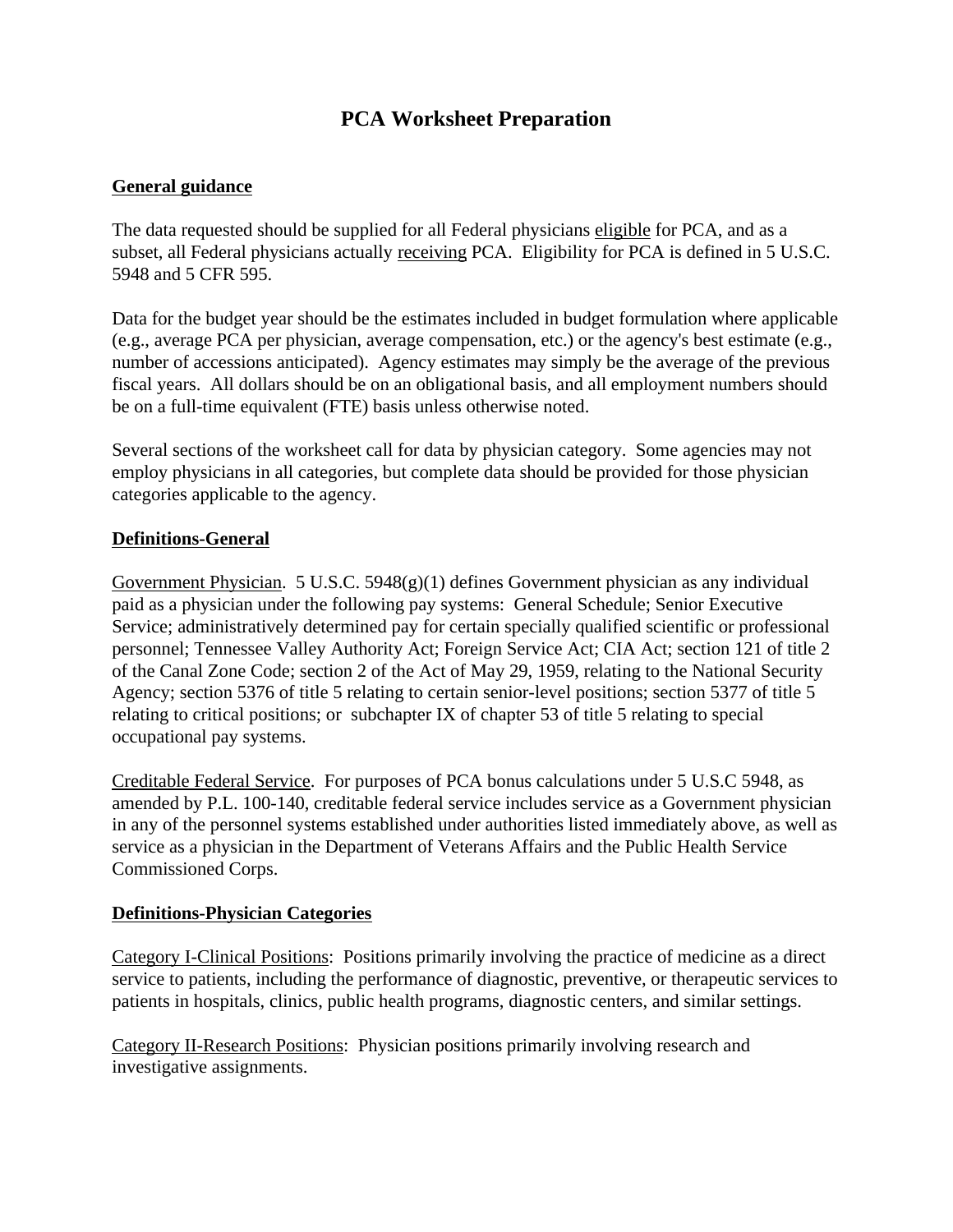# **PCA Worksheet Preparation**

#### **General guidance**

The data requested should be supplied for all Federal physicians eligible for PCA, and as a subset, all Federal physicians actually receiving PCA. Eligibility for PCA is defined in 5 U.S.C. 5948 and 5 CFR 595.

Data for the budget year should be the estimates included in budget formulation where applicable (e.g., average PCA per physician, average compensation, etc.) or the agency's best estimate (e.g., number of accessions anticipated). Agency estimates may simply be the average of the previous fiscal years. All dollars should be on an obligational basis, and all employment numbers should be on a full-time equivalent (FTE) basis unless otherwise noted.

Several sections of the worksheet call for data by physician category. Some agencies may not employ physicians in all categories, but complete data should be provided for those physician categories applicable to the agency.

#### **Definitions-General**

Government Physician. 5 U.S.C. 5948(g)(1) defines Government physician as any individual paid as a physician under the following pay systems: General Schedule; Senior Executive Service; administratively determined pay for certain specially qualified scientific or professional personnel; Tennessee Valley Authority Act; Foreign Service Act; CIA Act; section 121 of title 2 of the Canal Zone Code; section 2 of the Act of May 29, 1959, relating to the National Security Agency; section 5376 of title 5 relating to certain senior-level positions; section 5377 of title 5 relating to critical positions; or subchapter IX of chapter 53 of title 5 relating to special occupational pay systems.

Creditable Federal Service. For purposes of PCA bonus calculations under 5 U.S.C 5948, as amended by P.L. 100-140, creditable federal service includes service as a Government physician in any of the personnel systems established under authorities listed immediately above, as well as service as a physician in the Department of Veterans Affairs and the Public Health Service Commissioned Corps.

#### **Definitions-Physician Categories**

Category I-Clinical Positions: Positions primarily involving the practice of medicine as a direct service to patients, including the performance of diagnostic, preventive, or therapeutic services to patients in hospitals, clinics, public health programs, diagnostic centers, and similar settings.

Category II-Research Positions: Physician positions primarily involving research and investigative assignments.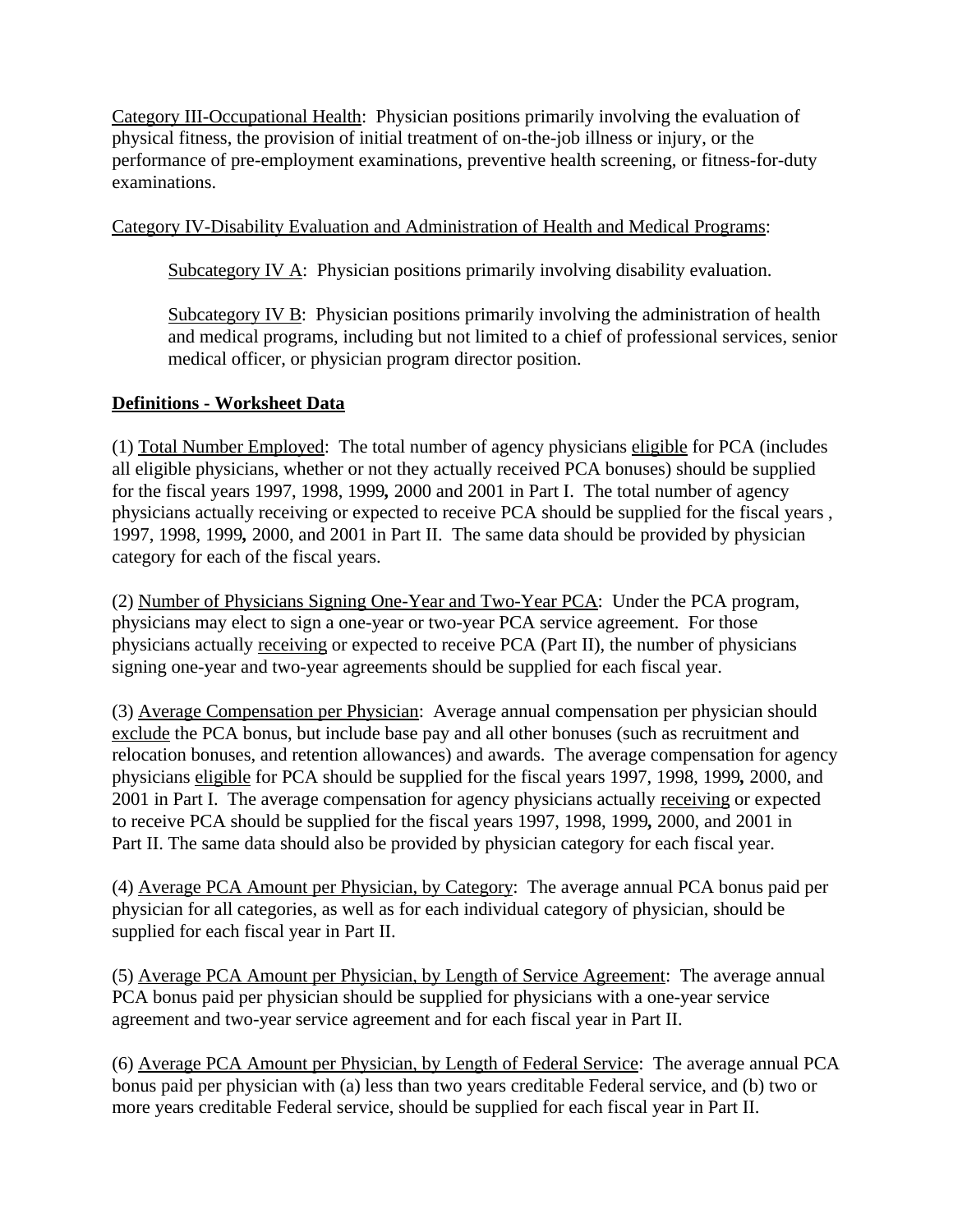Category III-Occupational Health: Physician positions primarily involving the evaluation of physical fitness, the provision of initial treatment of on-the-job illness or injury, or the performance of pre-employment examinations, preventive health screening, or fitness-for-duty examinations.

## Category IV-Disability Evaluation and Administration of Health and Medical Programs:

Subcategory IV A: Physician positions primarily involving disability evaluation.

Subcategory IV B: Physician positions primarily involving the administration of health and medical programs, including but not limited to a chief of professional services, senior medical officer, or physician program director position.

## **Definitions - Worksheet Data**

(1) Total Number Employed: The total number of agency physicians eligible for PCA (includes all eligible physicians, whether or not they actually received PCA bonuses) should be supplied for the fiscal years 1997, 1998, 1999*,* 2000 and 2001 in Part I. The total number of agency physicians actually receiving or expected to receive PCA should be supplied for the fiscal years , 1997, 1998, 1999*,* 2000, and 2001 in Part II. The same data should be provided by physician category for each of the fiscal years.

(2) Number of Physicians Signing One-Year and Two-Year PCA: Under the PCA program, physicians may elect to sign a one-year or two-year PCA service agreement. For those physicians actually receiving or expected to receive PCA (Part II), the number of physicians signing one-year and two-year agreements should be supplied for each fiscal year.

(3) Average Compensation per Physician: Average annual compensation per physician should exclude the PCA bonus, but include base pay and all other bonuses (such as recruitment and relocation bonuses, and retention allowances) and awards. The average compensation for agency physicians eligible for PCA should be supplied for the fiscal years 1997, 1998, 1999*,* 2000, and 2001 in Part I. The average compensation for agency physicians actually receiving or expected to receive PCA should be supplied for the fiscal years 1997, 1998, 1999*,* 2000, and 2001 in Part II. The same data should also be provided by physician category for each fiscal year.

(4) Average PCA Amount per Physician, by Category: The average annual PCA bonus paid per physician for all categories, as well as for each individual category of physician, should be supplied for each fiscal year in Part II.

(5) Average PCA Amount per Physician, by Length of Service Agreement: The average annual PCA bonus paid per physician should be supplied for physicians with a one-year service agreement and two-year service agreement and for each fiscal year in Part II.

(6) Average PCA Amount per Physician, by Length of Federal Service: The average annual PCA bonus paid per physician with (a) less than two years creditable Federal service, and (b) two or more years creditable Federal service, should be supplied for each fiscal year in Part II.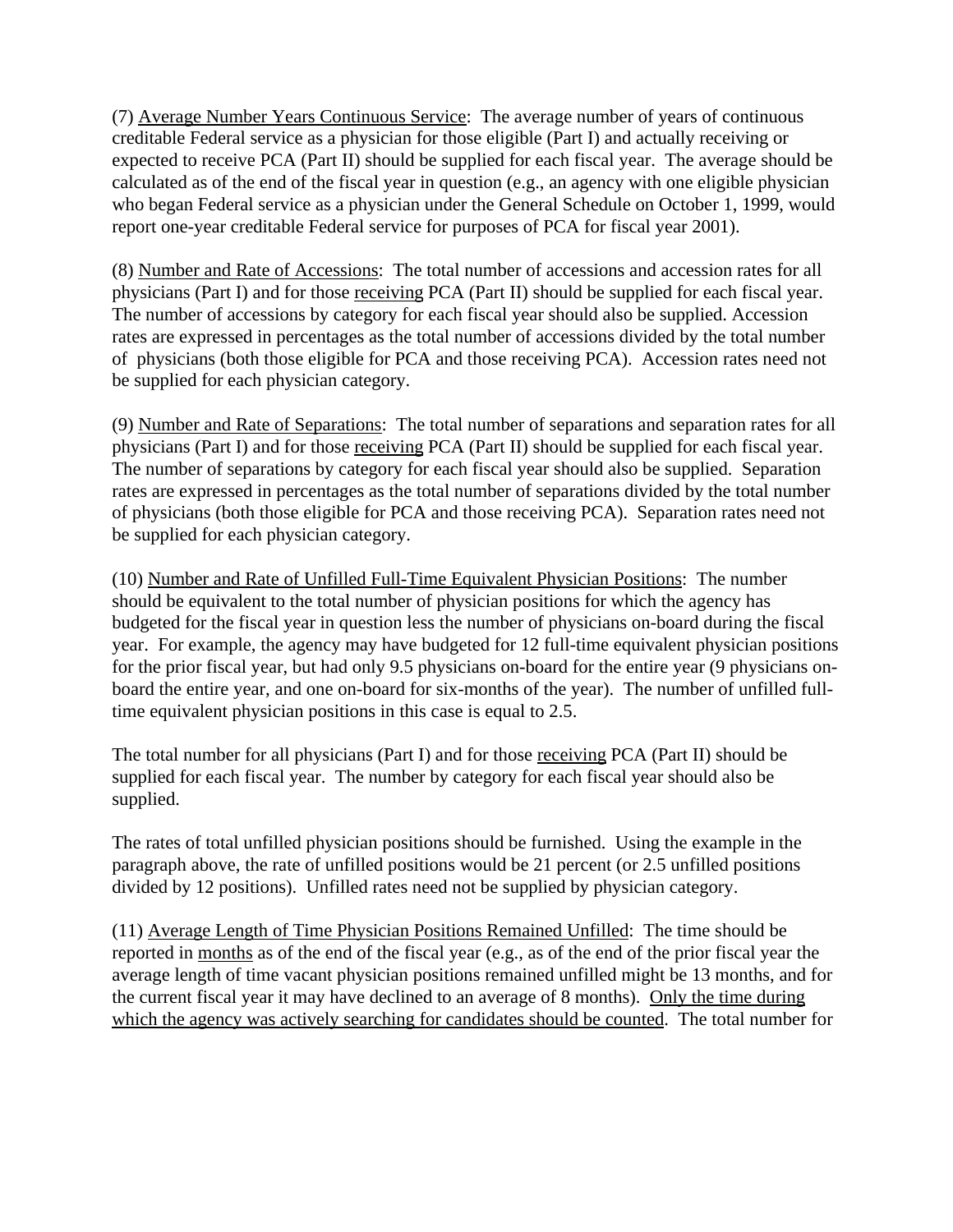(7) Average Number Years Continuous Service: The average number of years of continuous creditable Federal service as a physician for those eligible (Part I) and actually receiving or expected to receive PCA (Part II) should be supplied for each fiscal year. The average should be calculated as of the end of the fiscal year in question (e.g., an agency with one eligible physician who began Federal service as a physician under the General Schedule on October 1, 1999, would report one-year creditable Federal service for purposes of PCA for fiscal year 2001).

(8) Number and Rate of Accessions: The total number of accessions and accession rates for all physicians (Part I) and for those receiving PCA (Part II) should be supplied for each fiscal year. The number of accessions by category for each fiscal year should also be supplied. Accession rates are expressed in percentages as the total number of accessions divided by the total number of physicians (both those eligible for PCA and those receiving PCA). Accession rates need not be supplied for each physician category.

(9) Number and Rate of Separations: The total number of separations and separation rates for all physicians (Part I) and for those receiving PCA (Part II) should be supplied for each fiscal year. The number of separations by category for each fiscal year should also be supplied. Separation rates are expressed in percentages as the total number of separations divided by the total number of physicians (both those eligible for PCA and those receiving PCA). Separation rates need not be supplied for each physician category.

(10) Number and Rate of Unfilled Full-Time Equivalent Physician Positions: The number should be equivalent to the total number of physician positions for which the agency has budgeted for the fiscal year in question less the number of physicians on-board during the fiscal year. For example, the agency may have budgeted for 12 full-time equivalent physician positions for the prior fiscal year, but had only 9.5 physicians on-board for the entire year (9 physicians onboard the entire year, and one on-board for six-months of the year). The number of unfilled fulltime equivalent physician positions in this case is equal to 2.5.

The total number for all physicians (Part I) and for those receiving PCA (Part II) should be supplied for each fiscal year. The number by category for each fiscal year should also be supplied.

The rates of total unfilled physician positions should be furnished. Using the example in the paragraph above, the rate of unfilled positions would be 21 percent (or 2.5 unfilled positions divided by 12 positions). Unfilled rates need not be supplied by physician category.

(11) Average Length of Time Physician Positions Remained Unfilled: The time should be reported in months as of the end of the fiscal year (e.g., as of the end of the prior fiscal year the average length of time vacant physician positions remained unfilled might be 13 months, and for the current fiscal year it may have declined to an average of 8 months). Only the time during which the agency was actively searching for candidates should be counted. The total number for